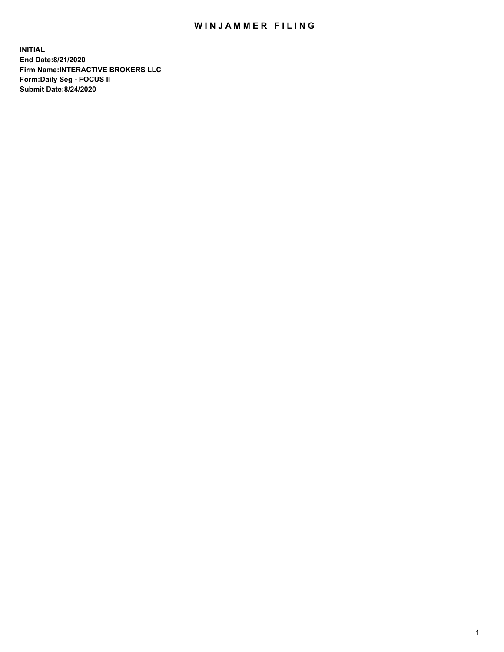## WIN JAMMER FILING

**INITIAL End Date:8/21/2020 Firm Name:INTERACTIVE BROKERS LLC Form:Daily Seg - FOCUS II Submit Date:8/24/2020**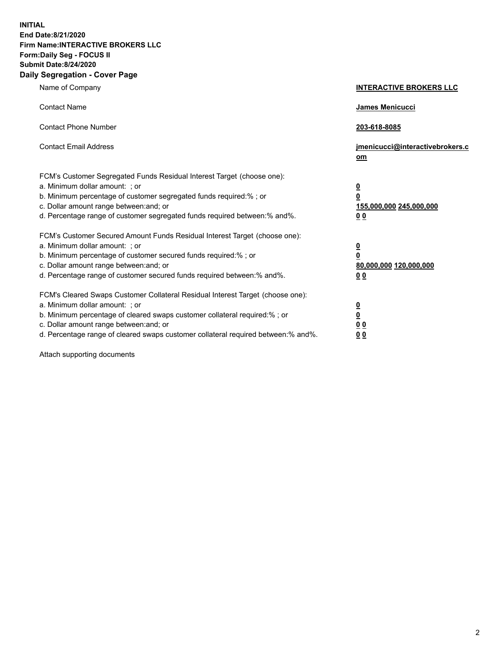**INITIAL End Date:8/21/2020 Firm Name:INTERACTIVE BROKERS LLC Form:Daily Seg - FOCUS II Submit Date:8/24/2020 Daily Segregation - Cover Page**

| Name of Company                                                                                                                                                                                                                                                                                                                | <b>INTERACTIVE BROKERS LLC</b>                                                                  |
|--------------------------------------------------------------------------------------------------------------------------------------------------------------------------------------------------------------------------------------------------------------------------------------------------------------------------------|-------------------------------------------------------------------------------------------------|
| <b>Contact Name</b>                                                                                                                                                                                                                                                                                                            | <b>James Menicucci</b>                                                                          |
| <b>Contact Phone Number</b>                                                                                                                                                                                                                                                                                                    | 203-618-8085                                                                                    |
| <b>Contact Email Address</b>                                                                                                                                                                                                                                                                                                   | jmenicucci@interactivebrokers.c<br>om                                                           |
| FCM's Customer Segregated Funds Residual Interest Target (choose one):<br>a. Minimum dollar amount: ; or<br>b. Minimum percentage of customer segregated funds required:%; or<br>c. Dollar amount range between: and; or<br>d. Percentage range of customer segregated funds required between:% and%.                          | $\overline{\mathbf{0}}$<br>$\overline{\mathbf{0}}$<br>155,000,000 245,000,000<br>0 <sub>0</sub> |
| FCM's Customer Secured Amount Funds Residual Interest Target (choose one):<br>a. Minimum dollar amount: ; or<br>b. Minimum percentage of customer secured funds required:%; or<br>c. Dollar amount range between: and; or<br>d. Percentage range of customer secured funds required between:% and%.                            | <u>0</u><br>$\overline{\mathbf{0}}$<br>80,000,000 120,000,000<br>0 <sub>0</sub>                 |
| FCM's Cleared Swaps Customer Collateral Residual Interest Target (choose one):<br>a. Minimum dollar amount: ; or<br>b. Minimum percentage of cleared swaps customer collateral required:% ; or<br>c. Dollar amount range between: and; or<br>d. Percentage range of cleared swaps customer collateral required between:% and%. | $\overline{\mathbf{0}}$<br>$\underline{\mathbf{0}}$<br>0 <sub>0</sub><br>00                     |

Attach supporting documents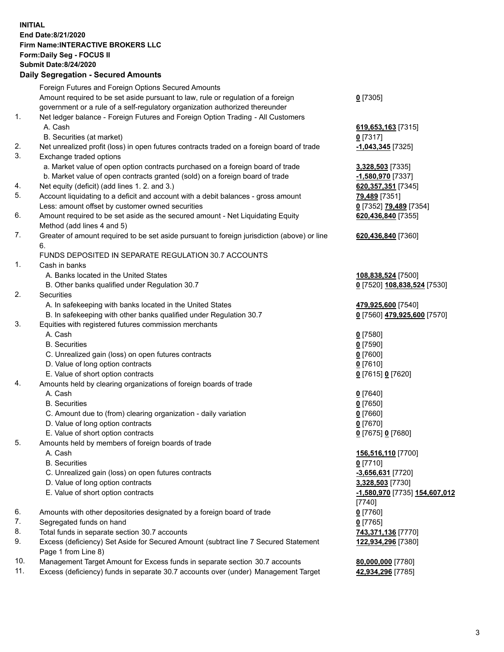## **INITIAL End Date:8/21/2020 Firm Name:INTERACTIVE BROKERS LLC Form:Daily Seg - FOCUS II Submit Date:8/24/2020**

|                | Submit Date:8/24/2020<br><b>Daily Segregation - Secured Amounts</b>                         |                                             |
|----------------|---------------------------------------------------------------------------------------------|---------------------------------------------|
|                |                                                                                             |                                             |
|                | Foreign Futures and Foreign Options Secured Amounts                                         |                                             |
|                | Amount required to be set aside pursuant to law, rule or regulation of a foreign            | $0$ [7305]                                  |
|                | government or a rule of a self-regulatory organization authorized thereunder                |                                             |
| $\mathbf{1}$ . | Net ledger balance - Foreign Futures and Foreign Option Trading - All Customers             |                                             |
|                | A. Cash                                                                                     | 619,653,163 [7315]                          |
|                | B. Securities (at market)                                                                   | $0$ [7317]                                  |
| 2.             | Net unrealized profit (loss) in open futures contracts traded on a foreign board of trade   | -1,043,345 [7325]                           |
| 3.             | Exchange traded options                                                                     |                                             |
|                | a. Market value of open option contracts purchased on a foreign board of trade              | 3,328,503 [7335]                            |
|                | b. Market value of open contracts granted (sold) on a foreign board of trade                | -1,580,970 [7337]                           |
| 4.             | Net equity (deficit) (add lines 1. 2. and 3.)                                               | 620, 357, 351 [7345]                        |
| 5.             | Account liquidating to a deficit and account with a debit balances - gross amount           | 79,489 [7351]                               |
|                | Less: amount offset by customer owned securities                                            | 0 [7352] 79,489 [7354]                      |
| 6.             | Amount required to be set aside as the secured amount - Net Liquidating Equity              | 620,436,840 [7355]                          |
|                | Method (add lines 4 and 5)                                                                  |                                             |
| 7.             | Greater of amount required to be set aside pursuant to foreign jurisdiction (above) or line | 620,436,840 [7360]                          |
|                | 6.                                                                                          |                                             |
|                | FUNDS DEPOSITED IN SEPARATE REGULATION 30.7 ACCOUNTS                                        |                                             |
| 1.             | Cash in banks                                                                               |                                             |
|                | A. Banks located in the United States                                                       | 108,838,524 [7500]                          |
|                | B. Other banks qualified under Regulation 30.7                                              | 0 [7520] 108,838,524 [7530]                 |
| 2.             | Securities                                                                                  |                                             |
|                | A. In safekeeping with banks located in the United States                                   | 479,925,600 [7540]                          |
|                | B. In safekeeping with other banks qualified under Regulation 30.7                          | 0 [7560] 479,925,600 [7570]                 |
| 3.             | Equities with registered futures commission merchants                                       |                                             |
|                | A. Cash                                                                                     | $0$ [7580]                                  |
|                | <b>B.</b> Securities                                                                        | $0$ [7590]                                  |
|                | C. Unrealized gain (loss) on open futures contracts                                         | $0$ [7600]                                  |
|                | D. Value of long option contracts                                                           | $0$ [7610]                                  |
|                | E. Value of short option contracts                                                          | 0 [7615] 0 [7620]                           |
| 4.             | Amounts held by clearing organizations of foreign boards of trade                           |                                             |
|                | A. Cash                                                                                     | $0$ [7640]                                  |
|                | <b>B.</b> Securities                                                                        | $0$ [7650]                                  |
|                | C. Amount due to (from) clearing organization - daily variation                             | $0$ [7660]                                  |
|                | D. Value of long option contracts                                                           | $0$ [7670]                                  |
|                | E. Value of short option contracts                                                          | 0 [7675] 0 [7680]                           |
| 5.             | Amounts held by members of foreign boards of trade                                          |                                             |
|                | A. Cash                                                                                     | 156,516,110 [7700]                          |
|                | <b>B.</b> Securities                                                                        | $0$ [7710]                                  |
|                | C. Unrealized gain (loss) on open futures contracts                                         | $-3,656,631$ [7720]                         |
|                | D. Value of long option contracts                                                           | 3,328,503 [7730]                            |
|                | E. Value of short option contracts                                                          | <u>-1,580,970</u> [7735] <u>154,607,012</u> |
|                |                                                                                             | $[7740]$                                    |
| 6.             | Amounts with other depositories designated by a foreign board of trade                      | $0$ [7760]                                  |
| 7.             | Segregated funds on hand                                                                    | $0$ [7765]                                  |
| 8.             | Total funds in separate section 30.7 accounts                                               | 743,371,136 [7770]                          |
| 9.             | Excess (deficiency) Set Aside for Secured Amount (subtract line 7 Secured Statement         | 122,934,296 [7380]                          |
|                | Page 1 from Line 8)                                                                         |                                             |
| 10.            | Management Target Amount for Excess funds in separate section 30.7 accounts                 | 80,000,000 [7780]                           |
| 11.            | Excess (deficiency) funds in separate 30.7 accounts over (under) Management Target          | 42,934,296 [7785]                           |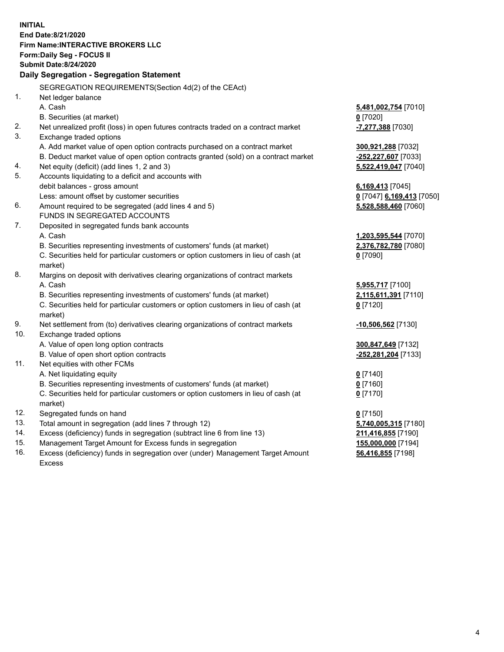**INITIAL End Date:8/21/2020 Firm Name:INTERACTIVE BROKERS LLC Form:Daily Seg - FOCUS II Submit Date:8/24/2020 Daily Segregation - Segregation Statement** SEGREGATION REQUIREMENTS(Section 4d(2) of the CEAct) 1. Net ledger balance A. Cash **5,481,002,754** [7010] B. Securities (at market) **0** [7020] 2. Net unrealized profit (loss) in open futures contracts traded on a contract market **-7,277,388** [7030] 3. Exchange traded options A. Add market value of open option contracts purchased on a contract market **300,921,288** [7032] B. Deduct market value of open option contracts granted (sold) on a contract market **-252,227,607** [7033] 4. Net equity (deficit) (add lines 1, 2 and 3) **5,522,419,047** [7040] 5. Accounts liquidating to a deficit and accounts with debit balances - gross amount **6,169,413** [7045] Less: amount offset by customer securities **0** [7047] **6,169,413** [7050] 6. Amount required to be segregated (add lines 4 and 5) **5,528,588,460** [7060] FUNDS IN SEGREGATED ACCOUNTS 7. Deposited in segregated funds bank accounts A. Cash **1,203,595,544** [7070] B. Securities representing investments of customers' funds (at market) **2,376,782,780** [7080] C. Securities held for particular customers or option customers in lieu of cash (at market) **0** [7090] 8. Margins on deposit with derivatives clearing organizations of contract markets A. Cash **5,955,717** [7100] B. Securities representing investments of customers' funds (at market) **2,115,611,391** [7110] C. Securities held for particular customers or option customers in lieu of cash (at market) **0** [7120] 9. Net settlement from (to) derivatives clearing organizations of contract markets **-10,506,562** [7130] 10. Exchange traded options A. Value of open long option contracts **300,847,649** [7132] B. Value of open short option contracts **-252,281,204** [7133] 11. Net equities with other FCMs A. Net liquidating equity **0** [7140] B. Securities representing investments of customers' funds (at market) **0** [7160] C. Securities held for particular customers or option customers in lieu of cash (at market) **0** [7170] 12. Segregated funds on hand **0** [7150] 13. Total amount in segregation (add lines 7 through 12) **5,740,005,315** [7180] 14. Excess (deficiency) funds in segregation (subtract line 6 from line 13) **211,416,855** [7190] 15. Management Target Amount for Excess funds in segregation **155,000,000** [7194] 16. Excess (deficiency) funds in segregation over (under) Management Target Amount **56,416,855** [7198]

Excess